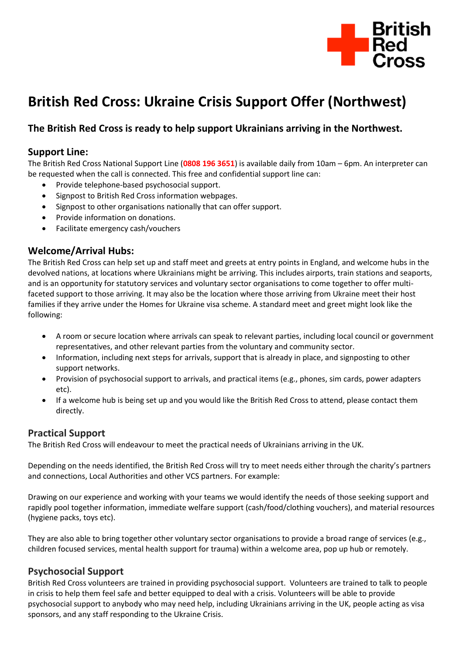

# **British Red Cross: Ukraine Crisis Support Offer (Northwest)**

# **The British Red Cross is ready to help support Ukrainians arriving in the Northwest.**

## **Support Line:**

The British Red Cross National Support Line (**0808 196 3651**) is available daily from 10am – 6pm. An interpreter can be requested when the call is connected. This free and confidential support line can:

- Provide telephone-based psychosocial support.
- Signpost to British Red Cross information webpages.
- Signpost to other organisations nationally that can offer support.
- Provide information on donations.
- Facilitate emergency cash/vouchers

## **Welcome/Arrival Hubs:**

The British Red Cross can help set up and staff meet and greets at entry points in England, and welcome hubs in the devolved nations, at locations where Ukrainians might be arriving. This includes airports, train stations and seaports, and is an opportunity for statutory services and voluntary sector organisations to come together to offer multifaceted support to those arriving. It may also be the location where those arriving from Ukraine meet their host families if they arrive under the Homes for Ukraine visa scheme. A standard meet and greet might look like the following:

- A room or secure location where arrivals can speak to relevant parties, including local council or government representatives, and other relevant parties from the voluntary and community sector.
- Information, including next steps for arrivals, support that is already in place, and signposting to other support networks.
- Provision of psychosocial support to arrivals, and practical items (e.g., phones, sim cards, power adapters etc).
- If a welcome hub is being set up and you would like the British Red Cross to attend, please contact them directly.

#### **Practical Support**

The British Red Cross will endeavour to meet the practical needs of Ukrainians arriving in the UK.

Depending on the needs identified, the British Red Cross will try to meet needs either through the charity's partners and connections, Local Authorities and other VCS partners. For example:

Drawing on our experience and working with your teams we would identify the needs of those seeking support and rapidly pool together information, immediate welfare support (cash/food/clothing vouchers), and material resources (hygiene packs, toys etc).

They are also able to bring together other voluntary sector organisations to provide a broad range of services (e.g., children focused services, mental health support for trauma) within a welcome area, pop up hub or remotely.

## **Psychosocial Support**

British Red Cross volunteers are trained in providing psychosocial support. Volunteers are trained to talk to people in crisis to help them feel safe and better equipped to deal with a crisis. Volunteers will be able to provide psychosocial support to anybody who may need help, including Ukrainians arriving in the UK, people acting as visa sponsors, and any staff responding to the Ukraine Crisis.